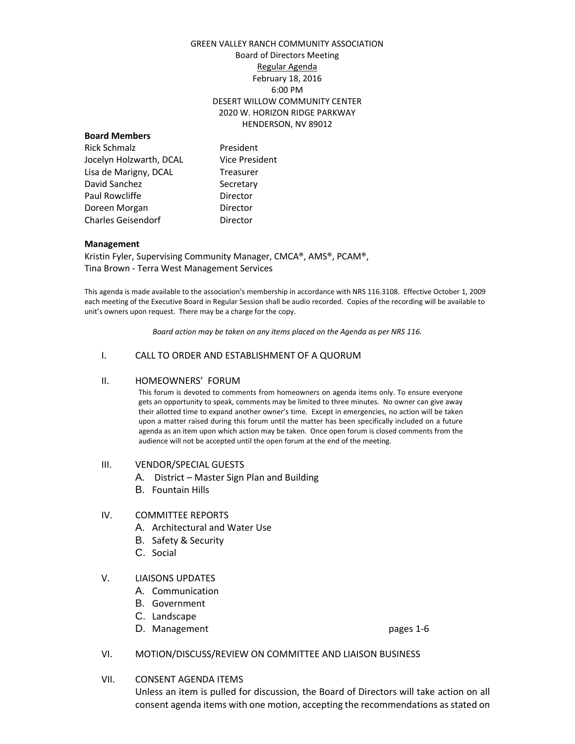# GREEN VALLEY RANCH COMMUNITY ASSOCIATION Board of Directors Meeting Regular Agenda February 18, 2016 6:00 PM DESERT WILLOW COMMUNITY CENTER 2020 W. HORIZON RIDGE PARKWAY HENDERSON, NV 89012

### **Board Members**

Rick Schmalz **President** Jocelyn Holzwarth, DCAL Vice President Lisa de Marigny, DCAL Treasurer David Sanchez Secretary Paul Rowcliffe **Director** Doreen Morgan **Director** Charles Geisendorf **Director** 

#### **Management**

Kristin Fyler, Supervising Community Manager, CMCA®, AMS®, PCAM®, Tina Brown - Terra West Management Services

This agenda is made available to the association's membership in accordance with NRS 116.3108. Effective October 1, 2009 each meeting of the Executive Board in Regular Session shall be audio recorded. Copies of the recording will be available to unit's owners upon request. There may be a charge for the copy.

*Board action may be taken on any items placed on the Agenda as per NRS 116.*

# I. CALL TO ORDER AND ESTABLISHMENT OF A QUORUM

#### II. HOMEOWNERS' FORUM

This forum is devoted to comments from homeowners on agenda items only. To ensure everyone gets an opportunity to speak, comments may be limited to three minutes. No owner can give away their allotted time to expand another owner's time. Except in emergencies, no action will be taken upon a matter raised during this forum until the matter has been specifically included on a future agenda as an item upon which action may be taken. Once open forum is closed comments from the audience will not be accepted until the open forum at the end of the meeting.

#### III. VENDOR/SPECIAL GUESTS

- A. District Master Sign Plan and Building
- B. Fountain Hills

# IV. COMMITTEE REPORTS

- A. Architectural and Water Use
- B. Safety & Security
- C. Social
- V. LIAISONS UPDATES
	- A. Communication
	- B. Government
	- C. Landscape
	- D. Management pages 1-6

- VI. MOTION/DISCUSS/REVIEW ON COMMITTEE AND LIAISON BUSINESS
- VII. CONSENT AGENDA ITEMS

Unless an item is pulled for discussion, the Board of Directors will take action on all consent agenda items with one motion, accepting the recommendations as stated on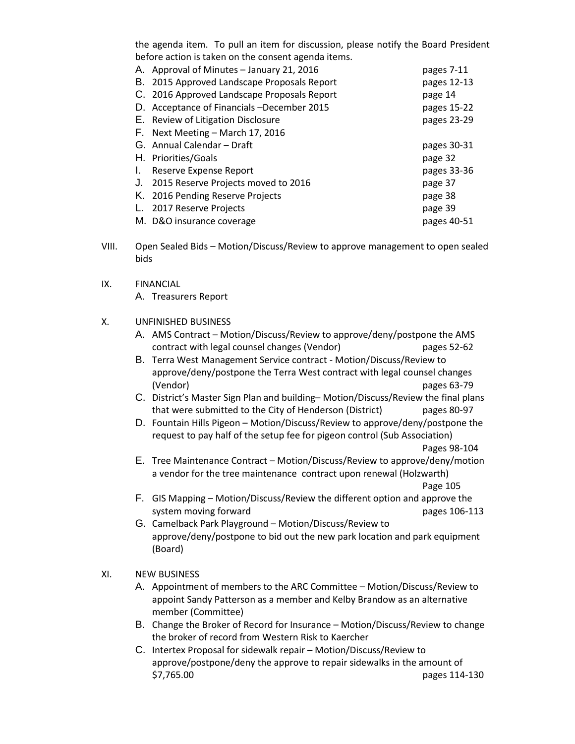the agenda item. To pull an item for discussion, please notify the Board President before action is taken on the consent agenda items.

| А. | Approval of Minutes - January 21, 2016      | pages 7-11  |
|----|---------------------------------------------|-------------|
|    | B. 2015 Approved Landscape Proposals Report | pages 12-13 |
|    | C. 2016 Approved Landscape Proposals Report | page 14     |
|    | D. Acceptance of Financials -December 2015  | pages 15-22 |
|    | E. Review of Litigation Disclosure          | pages 23-29 |
|    | F. Next Meeting - March 17, 2016            |             |
|    | G. Annual Calendar - Draft                  | pages 30-31 |
|    | H. Priorities/Goals                         | page 32     |
| L. | Reserve Expense Report                      | pages 33-36 |
| J. | 2015 Reserve Projects moved to 2016         | page 37     |
|    | K. 2016 Pending Reserve Projects            | page 38     |
|    | 2017 Reserve Projects                       | page 39     |
|    | M. D&O insurance coverage                   | pages 40-51 |

- VIII. Open Sealed Bids Motion/Discuss/Review to approve management to open sealed bids
- IX. FINANCIAL

A. Treasurers Report

# X. UNFINISHED BUSINESS

- A. AMS Contract Motion/Discuss/Review to approve/deny/postpone the AMS contract with legal counsel changes (Vendor) pages 52-62
- B. Terra West Management Service contract Motion/Discuss/Review to approve/deny/postpone the Terra West contract with legal counsel changes (Vendor) pages 63-79
- C. District's Master Sign Plan and building– Motion/Discuss/Review the final plans that were submitted to the City of Henderson (District) pages 80-97
- D. Fountain Hills Pigeon Motion/Discuss/Review to approve/deny/postpone the request to pay half of the setup fee for pigeon control (Sub Association) Pages 98-104
- E. Tree Maintenance Contract Motion/Discuss/Review to approve/deny/motion a vendor for the tree maintenance contract upon renewal (Holzwarth) Page 105
- F. GIS Mapping Motion/Discuss/Review the different option and approve the system moving forward and pages 106-113
- G. Camelback Park Playground Motion/Discuss/Review to approve/deny/postpone to bid out the new park location and park equipment (Board)

# XI. NEW BUSINESS

- A. Appointment of members to the ARC Committee Motion/Discuss/Review to appoint Sandy Patterson as a member and Kelby Brandow as an alternative member (Committee)
- B. Change the Broker of Record for Insurance Motion/Discuss/Review to change the broker of record from Western Risk to Kaercher
- C. Intertex Proposal for sidewalk repair Motion/Discuss/Review to approve/postpone/deny the approve to repair sidewalks in the amount of \$7,765.00 pages 114-130